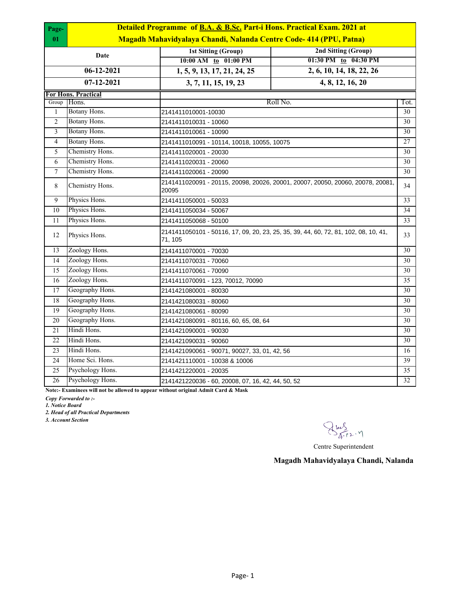| Page-<br>01     | Detailed Programme of B.A. & B.Sc. Part-i Hons. Practical Exam. 2021 at<br>Magadh Mahavidyalaya Chandi, Nalanda Centre Code-414 (PPU, Patna) |                                                                                                |                                             |    |  |
|-----------------|----------------------------------------------------------------------------------------------------------------------------------------------|------------------------------------------------------------------------------------------------|---------------------------------------------|----|--|
|                 | Date                                                                                                                                         | <b>1st Sitting (Group)</b><br>10:00 AM to 01:00 PM                                             | 2nd Sitting (Group)<br>01:30 PM to 04:30 PM |    |  |
|                 | $06 - 12 - 2021$                                                                                                                             | 2, 6, 10, 14, 18, 22, 26<br>1, 5, 9, 13, 17, 21, 24, 25                                        |                                             |    |  |
|                 | 07-12-2021                                                                                                                                   | 3, 7, 11, 15, 19, 23                                                                           | 4, 8, 12, 16, 20                            |    |  |
|                 | For Hons. Practical                                                                                                                          |                                                                                                |                                             |    |  |
| Group           | Hons.                                                                                                                                        | Roll No.<br>Tot.                                                                               |                                             |    |  |
| $\mathbf{1}$    | Botany Hons.                                                                                                                                 | 2141411010001-10030                                                                            |                                             | 30 |  |
| $\overline{2}$  | Botany Hons.                                                                                                                                 | 2141411010031 - 10060                                                                          |                                             | 30 |  |
| 3               | Botany Hons.                                                                                                                                 | 2141411010061 - 10090                                                                          |                                             | 30 |  |
| $\overline{4}$  | Botany Hons.                                                                                                                                 | 2141411010091 - 10114, 10018, 10055, 10075                                                     |                                             | 27 |  |
| 5               | Chemistry Hons.                                                                                                                              | 2141411020001 - 20030                                                                          |                                             | 30 |  |
| 6               | Chemistry Hons.                                                                                                                              | 2141411020031 - 20060                                                                          |                                             | 30 |  |
| $\overline{7}$  | Chemistry Hons.                                                                                                                              | 2141411020061 - 20090                                                                          |                                             | 30 |  |
| $\,8\,$         | Chemistry Hons.                                                                                                                              | 2141411020091 - 20115, 20098, 20026, 20001, 20007, 20050, 20060, 20078, 20081,<br>20095        |                                             | 34 |  |
| 9               | Physics Hons.                                                                                                                                | 2141411050001 - 50033                                                                          |                                             | 33 |  |
| $\overline{10}$ | Physics Hons.                                                                                                                                | 2141411050034 - 50067                                                                          |                                             | 34 |  |
| 11              | Physics Hons.                                                                                                                                | 2141411050068 - 50100                                                                          |                                             | 33 |  |
| 12              | Physics Hons.                                                                                                                                | 2141411050101 - 50116, 17, 09, 20, 23, 25, 35, 39, 44, 60, 72, 81, 102, 08, 10, 41,<br>71, 105 |                                             | 33 |  |
| 13              | Zoology Hons.                                                                                                                                | 2141411070001 - 70030                                                                          |                                             | 30 |  |
| 14              | Zoology Hons.                                                                                                                                | 2141411070031 - 70060                                                                          |                                             | 30 |  |
| 15              | Zoology Hons.                                                                                                                                | 2141411070061 - 70090                                                                          |                                             | 30 |  |
| 16              | Zoology Hons.                                                                                                                                | 2141411070091 - 123, 70012, 70090                                                              |                                             | 35 |  |
| 17              | Geography Hons.                                                                                                                              | 2141421080001 - 80030                                                                          |                                             | 30 |  |
| 18              | Geography Hons.                                                                                                                              | 2141421080031 - 80060                                                                          |                                             | 30 |  |
| 19              | Geography Hons.                                                                                                                              | 2141421080061 - 80090                                                                          |                                             | 30 |  |
| $\overline{20}$ | Geography Hons.                                                                                                                              | 2141421080091 - 80116, 60, 65, 08, 64                                                          |                                             | 30 |  |
| $\overline{21}$ | Hindi Hons.                                                                                                                                  | 2141421090001 - 90030                                                                          |                                             | 30 |  |
| 22              | Hindi Hons.                                                                                                                                  | 2141421090031 - 90060                                                                          |                                             | 30 |  |
| 23              | Hindi Hons.                                                                                                                                  | 2141421090061 - 90071, 90027, 33, 01, 42, 56                                                   |                                             | 16 |  |
| 24              | Home Sci. Hons.                                                                                                                              | 2141421110001 - 10038 & 10006                                                                  |                                             | 39 |  |
| $\overline{25}$ | Psychology Hons.                                                                                                                             | 2141421220001 - 20035                                                                          |                                             | 35 |  |
| $\overline{26}$ | Psychology Hons.                                                                                                                             | 32<br>2141421220036 - 60, 20008, 07, 16, 42, 44, 50, 52                                        |                                             |    |  |
|                 |                                                                                                                                              |                                                                                                |                                             |    |  |

**Note:- Examinees will not be allowed to appear without original Admit Card & Mask**

*Copy Forwarded to :-*

*1. Notice Board*

*2. Head of all Practical Departments*

*3. Account Section*

Sus<br>Arr2.7

Centre Superintendent

**Magadh Mahavidyalaya Chandi, Nalanda**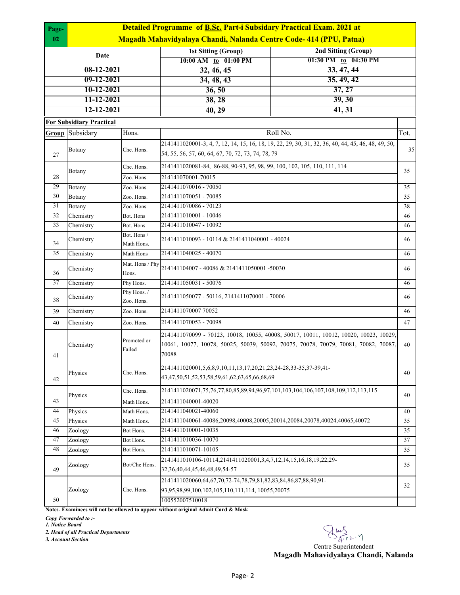| Page-        | <b>Detailed Programme of B.Sc. Part-i Subsidary Practical Exam. 2021 at</b> |                           |                                                                                                                                                                                       |                      |      |  |  |  |
|--------------|-----------------------------------------------------------------------------|---------------------------|---------------------------------------------------------------------------------------------------------------------------------------------------------------------------------------|----------------------|------|--|--|--|
| 02           | Magadh Mahavidyalaya Chandi, Nalanda Centre Code-414 (PPU, Patna)           |                           |                                                                                                                                                                                       |                      |      |  |  |  |
| Date         |                                                                             |                           | <b>1st Sitting (Group)</b>                                                                                                                                                            | 2nd Sitting (Group)  |      |  |  |  |
|              |                                                                             |                           | 10:00 AM to 01:00 PM                                                                                                                                                                  | 01:30 PM to 04:30 PM |      |  |  |  |
| 08-12-2021   |                                                                             |                           | 32, 46, 45                                                                                                                                                                            | 33, 47, 44           |      |  |  |  |
| $09-12-2021$ |                                                                             |                           | 34, 48, 43                                                                                                                                                                            | 35, 49, 42           |      |  |  |  |
|              | 10-12-2021                                                                  |                           | 36, 50                                                                                                                                                                                | 37, 27               |      |  |  |  |
|              | 11-12-2021                                                                  |                           | 38, 28                                                                                                                                                                                | 39, 30               |      |  |  |  |
|              | 12-12-2021                                                                  |                           | 40, 29                                                                                                                                                                                | 41, 31               |      |  |  |  |
|              | <b>For Subsidiary Practical</b>                                             |                           |                                                                                                                                                                                       |                      |      |  |  |  |
| Group        | Subsidary                                                                   | Hons.                     |                                                                                                                                                                                       | Roll No.             | Tot. |  |  |  |
| 27           | <b>Botany</b>                                                               | Che. Hons.                | 2141411020001-3, 4, 7, 12, 14, 15, 16, 18, 19, 22, 29, 30, 31, 32, 36, 40, 44, 45, 46, 48, 49, 50,<br>54, 55, 56, 57, 60, 64, 67, 70, 72, 73, 74, 78, 79                              |                      | 35   |  |  |  |
|              |                                                                             | Che. Hons.                | 2141411020081-84, 86-88, 90-93, 95, 98, 99, 100, 102, 105, 110, 111, 114                                                                                                              |                      | 35   |  |  |  |
| 28           | <b>Botany</b>                                                               | Zoo. Hons.                | 214141070001-70015                                                                                                                                                                    |                      |      |  |  |  |
| 29           | Botany                                                                      | Zoo. Hons.                | 2141411070016 - 70050                                                                                                                                                                 |                      | 35   |  |  |  |
| 30           | Botany                                                                      | Zoo. Hons.                | 2141411070051 - 70085                                                                                                                                                                 |                      | 35   |  |  |  |
| 31           | Botany                                                                      | Zoo. Hons.                | 2141411070086 - 70123                                                                                                                                                                 |                      | 38   |  |  |  |
| 32           | Chemistry                                                                   | Bot. Hons                 | 2141411010001 - 10046                                                                                                                                                                 |                      | 46   |  |  |  |
| 33           | Chemistry                                                                   | Bot. Hons                 | 2141411010047 - 10092                                                                                                                                                                 |                      | 46   |  |  |  |
| 34           | Chemistry                                                                   | Bot. Hons /<br>Math Hons. | 2141411010093 - 10114 & 2141411040001 - 40024                                                                                                                                         |                      | 46   |  |  |  |
| 35           | Chemistry                                                                   | Math Hons                 | 2141411040025 - 40070                                                                                                                                                                 |                      | 46   |  |  |  |
| 36           | Chemistry                                                                   | Mat. Hons / Phy<br>Hons.  | 214141104007 - 40086 & 2141411050001 -50030                                                                                                                                           |                      | 46   |  |  |  |
| 37           | Chemistry                                                                   | Phy Hons.                 | 2141411050031 - 50076                                                                                                                                                                 |                      | 46   |  |  |  |
| 38           | Chemistry                                                                   | Phy Hons./<br>Zoo. Hons.  | 2141411050077 - 50116, 2141411070001 - 70006                                                                                                                                          |                      | 46   |  |  |  |
| 39           | Chemistry                                                                   | Zoo. Hons.                | 2141411070007 70052                                                                                                                                                                   |                      | 46   |  |  |  |
| 40           | Chemistry                                                                   | Zoo. Hons.                | 2141411070053 - 70098                                                                                                                                                                 |                      | 47   |  |  |  |
| 41           | Chemistry                                                                   | Promoted or<br>Failed     | 2141411070099 - 70123, 10018, 10055, 40008, 50017, 10011, 10012, 10020, 10023, 10029,<br>10061, 10077, 10078, 50025, 50039, 50092, 70075, 70078, 70079, 70081, 70082, 70087,<br>70088 |                      | 40   |  |  |  |
| 42           | Physics                                                                     | Che. Hons.                | 2141411020001,5,6,8,9,10,11,13,17,20,21,23,24-28,33-35,37-39,41-<br>43, 47, 50, 51, 52, 53, 58, 59, 61, 62, 63, 65, 66, 68, 69                                                        |                      | 40   |  |  |  |
|              | Physics                                                                     | Che. Hons.                | 2141411020071,75,76,77,80,85,89,94,96,97,101,103,104,106,107,108,109,112,113,115                                                                                                      |                      | 40   |  |  |  |
| 43           |                                                                             | Math Hons.                | 2141411040001-40020                                                                                                                                                                   |                      |      |  |  |  |
| 44           | Physics                                                                     | Math Hons.                | 2141411040021-40060                                                                                                                                                                   |                      | 40   |  |  |  |
| 45           | Physics                                                                     | Math Hons.                | 2141411040061-40086,20098,40008,20005,20014,20084,20078,40024,40065,40072                                                                                                             |                      | 35   |  |  |  |
| 46           | Zoology                                                                     | Bot Hons.                 | 2141411010001-10035                                                                                                                                                                   |                      | 35   |  |  |  |
| 47           | Zoology                                                                     | Bot Hons.                 | 2141411010036-10070                                                                                                                                                                   |                      | 37   |  |  |  |
| 48           | Zoology                                                                     | Bot Hons.                 | 2141411010071-10105                                                                                                                                                                   |                      | 35   |  |  |  |
| 49           | Zoology                                                                     | Bot/Che Hons.             | 2141411010106-10114,2141411020001,3,4,7,12,14,15,16,18,19,22,29-<br>32, 36, 40, 44, 45, 46, 48, 49, 54-57                                                                             |                      | 35   |  |  |  |
| 50           | Zoology                                                                     | Che. Hons.                | 2141411020060,64,67,70,72-74,78,79,81,82,83,84,86,87,88,90,91-<br>93,95,98,99,100,102,105,110,111,114, 10055,20075                                                                    |                      | 32   |  |  |  |
|              | 100552007510018                                                             |                           |                                                                                                                                                                                       |                      |      |  |  |  |

**Note:- Examinees will not be allowed to appear without original Admit Card & Mask**

*Copy Forwarded to :-*

*1. Notice Board*

*2. Head of all Practical Departments*

*3. Account Section*

 $\bigotimes_{\widetilde{A}^{\text{-}\Gamma}}\sum_{\gamma\in\mathcal{A}^{\text{-}\Gamma}}\gamma$ 

**Magadh Mahavidyalaya Chandi, Nalanda**